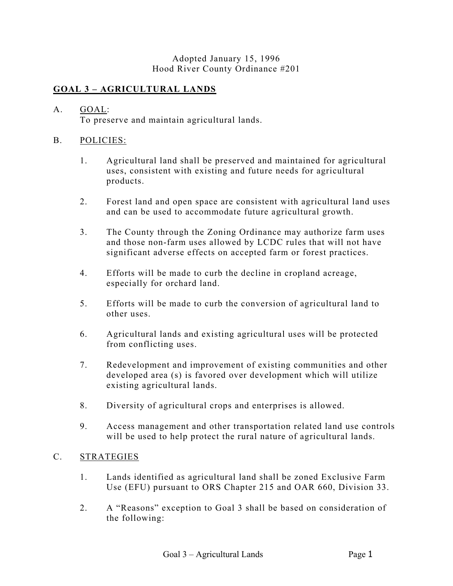#### Adopted January 15, 1996 Hood River County Ordinance #201

## **GOAL 3 – AGRICULTURAL LANDS**

# A. GOAL:

To preserve and maintain agricultural lands.

### B. POLICIES:

- 1. Agricultural land shall be preserved and maintained for agricultural uses, consistent with existing and future needs for agricultural products.
- 2. Forest land and open space are consistent with agricultural land uses and can be used to accommodate future agricultural growth.
- 3. The County through the Zoning Ordinance may authorize farm uses and those non-farm uses allowed by LCDC rules that will not have significant adverse effects on accepted farm or forest practices.
- 4. Efforts will be made to curb the decline in cropland acreage, especially for orchard land.
- 5. Efforts will be made to curb the conversion of agricultural land to other uses.
- 6. Agricultural lands and existing agricultural uses will be protected from conflicting uses.
- 7. Redevelopment and improvement of existing communities and other developed area (s) is favored over development which will utilize existing agricultural lands.
- 8. Diversity of agricultural crops and enterprises is allowed.
- 9. Access management and other transportation related land use controls will be used to help protect the rural nature of agricultural lands.

### C. STRATEGIES

- 1. Lands identified as agricultural land shall be zoned Exclusive Farm Use (EFU) pursuant to ORS Chapter 215 and OAR 660, Division 33.
- 2. A "Reasons" exception to Goal 3 shall be based on consideration of the following: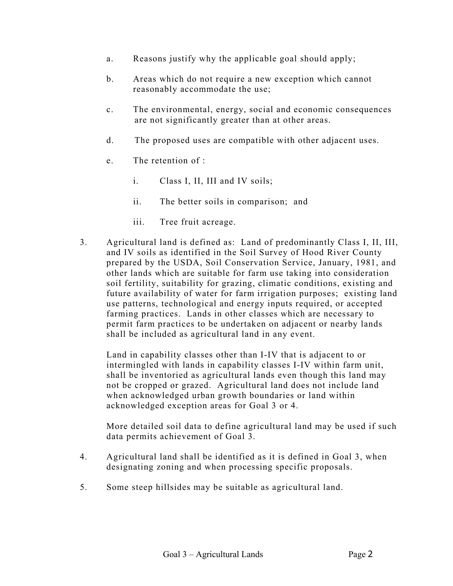- a. Reasons justify why the applicable goal should apply;
- b. Areas which do not require a new exception which cannot reasonably accommodate the use;
- c. The environmental, energy, social and economic consequences are not significantly greater than at other areas.
- d. The proposed uses are compatible with other adjacent uses.
- e. The retention of :
	- i. Class I, II, III and IV soils;
	- ii. The better soils in comparison; and
	- iii. Tree fruit acreage.
- 3. Agricultural land is defined as: Land of predominantly Class I, II, III, and IV soils as identified in the Soil Survey of Hood River County prepared by the USDA, Soil Conservation Service, January, 1981, and other lands which are suitable for farm use taking into consideration soil fertility, suitability for grazing, climatic conditions, existing and future availability of water for farm irrigation purposes; existing land use patterns, technological and energy inputs required, or accepted farming practices. Lands in other classes which are necessary to permit farm practices to be undertaken on adjacent or nearby lands shall be included as agricultural land in any event.

Land in capability classes other than I-IV that is adjacent to or intermingled with lands in capability classes I-IV within farm unit, shall be inventoried as agricultural lands even though this land may not be cropped or grazed. Agricultural land does not include land when acknowledged urban growth boundaries or land within acknowledged exception areas for Goal 3 or 4.

More detailed soil data to define agricultural land may be used if such data permits achievement of Goal 3.

- 4. Agricultural land shall be identified as it is defined in Goal 3, when designating zoning and when processing specific proposals.
- 5. Some steep hillsides may be suitable as agricultural land.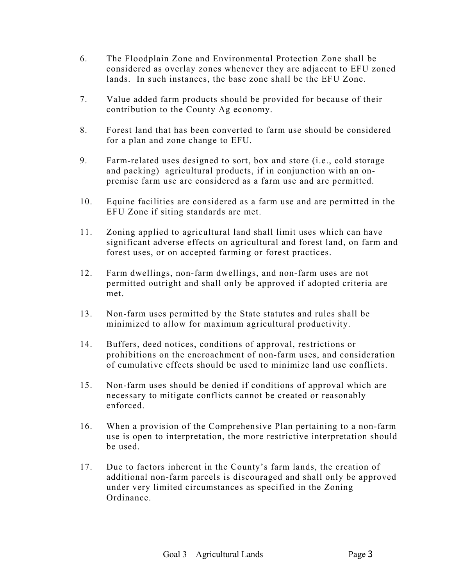- 6. The Floodplain Zone and Environmental Protection Zone shall be considered as overlay zones whenever they are adjacent to EFU zoned lands. In such instances, the base zone shall be the EFU Zone.
- 7. Value added farm products should be provided for because of their contribution to the County Ag economy.
- 8. Forest land that has been converted to farm use should be considered for a plan and zone change to EFU.
- 9. Farm-related uses designed to sort, box and store (i.e., cold storage and packing) agricultural products, if in conjunction with an onpremise farm use are considered as a farm use and are permitted.
- 10. Equine facilities are considered as a farm use and are permitted in the EFU Zone if siting standards are met.
- 11. Zoning applied to agricultural land shall limit uses which can have significant adverse effects on agricultural and forest land, on farm and forest uses, or on accepted farming or forest practices.
- 12. Farm dwellings, non-farm dwellings, and non-farm uses are not permitted outright and shall only be approved if adopted criteria are met.
- 13. Non-farm uses permitted by the State statutes and rules shall be minimized to allow for maximum agricultural productivity.
- 14. Buffers, deed notices, conditions of approval, restrictions or prohibitions on the encroachment of non-farm uses, and consideration of cumulative effects should be used to minimize land use conflicts.
- 15. Non-farm uses should be denied if conditions of approval which are necessary to mitigate conflicts cannot be created or reasonably enforced.
- 16. When a provision of the Comprehensive Plan pertaining to a non-farm use is open to interpretation, the more restrictive interpretation should be used.
- 17. Due to factors inherent in the County's farm lands, the creation of additional non-farm parcels is discouraged and shall only be approved under very limited circumstances as specified in the Zoning Ordinance.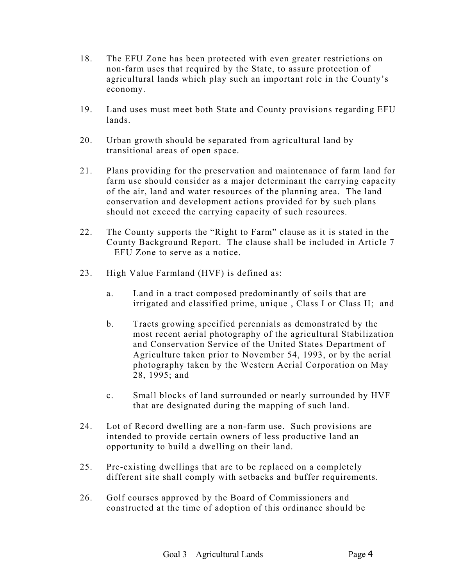- 18. The EFU Zone has been protected with even greater restrictions on non-farm uses that required by the State, to assure protection of agricultural lands which play such an important role in the County's economy.
- 19. Land uses must meet both State and County provisions regarding EFU lands.
- 20. Urban growth should be separated from agricultural land by transitional areas of open space.
- 21. Plans providing for the preservation and maintenance of farm land for farm use should consider as a major determinant the carrying capacity of the air, land and water resources of the planning area. The land conservation and development actions provided for by such plans should not exceed the carrying capacity of such resources.
- 22. The County supports the "Right to Farm" clause as it is stated in the County Background Report. The clause shall be included in Article 7 – EFU Zone to serve as a notice.
- 23. High Value Farmland (HVF) is defined as:
	- a. Land in a tract composed predominantly of soils that are irrigated and classified prime, unique , Class I or Class II; and
	- b. Tracts growing specified perennials as demonstrated by the most recent aerial photography of the agricultural Stabilization and Conservation Service of the United States Department of Agriculture taken prior to November 54, 1993, or by the aerial photography taken by the Western Aerial Corporation on May 28, 1995; and
	- c. Small blocks of land surrounded or nearly surrounded by HVF that are designated during the mapping of such land.
- 24. Lot of Record dwelling are a non-farm use. Such provisions are intended to provide certain owners of less productive land an opportunity to build a dwelling on their land.
- 25. Pre-existing dwellings that are to be replaced on a completely different site shall comply with setbacks and buffer requirements.
- 26. Golf courses approved by the Board of Commissioners and constructed at the time of adoption of this ordinance should be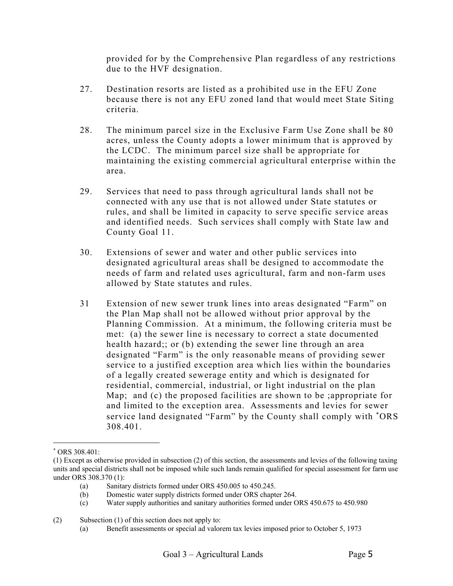provided for by the Comprehensive Plan regardless of any restrictions due to the HVF designation.

- <span id="page-4-0"></span>27. Destination resorts are listed as a prohibited use in the EFU Zone because there is not any EFU zoned land that would meet State Siting criteria.
- 28. The minimum parcel size in the Exclusive Farm Use Zone shall be 80 acres, unless the County adopts a lower minimum that is approved by the LCDC. The minimum parcel size shall be appropriate for maintaining the existing commercial agricultural enterprise within the area.
- 29. Services that need to pass through agricultural lands shall not be connected with any use that is not allowed under State statutes or rules, and shall be limited in capacity to serve specific service areas and identified needs. Such services shall comply with State law and County Goal 11.
- 30. Extensions of sewer and water and other public services into designated agricultural areas shall be designed to accommodate the needs of farm and related uses agricultural, farm and non-farm uses allowed by State statutes and rules.
- 31 Extension of new sewer trunk lines into areas designated "Farm" on the Plan Map shall not be allowed without prior approval by the Planning Commission. At a minimum, the following criteria must be met: (a) the sewer line is necessary to correct a state documented health hazard;; or (b) extending the sewer line through an area designated "Farm" is the only reasonable means of providing sewer service to a justified exception area which lies within the boundaries of a legally created sewerage entity and which is designated for residential, commercial, industrial, or light industrial on the plan Map; and (c) the proposed facilities are shown to be ;appropriate for and limited to the exception area. Assessments and levies for sewer service land designated "Farm" by the County shall comply with \*ORS 308.401.

 $\overline{a}$ 

<sup>∗</sup> ORS 308.401:

<sup>(1)</sup> Except as otherwise provided in subsection (2) of this section, the assessments and levies of the following taxing units and special districts shall not be imposed while such lands remain qualified for special assessment for farm use under ORS 308.370 (1):

<sup>(</sup>a) Sanitary districts formed under ORS 450.005 to 450.245.

<sup>(</sup>b) Domestic water supply districts formed under ORS chapter 264.

<sup>(</sup>c) Water supply authorities and sanitary authorities formed under ORS 450.675 to 450.980

<sup>(2)</sup> Subsection (1) of this section does not apply to:

<sup>(</sup>a) Benefit assessments or special ad valorem tax levies imposed prior to October 5, 1973